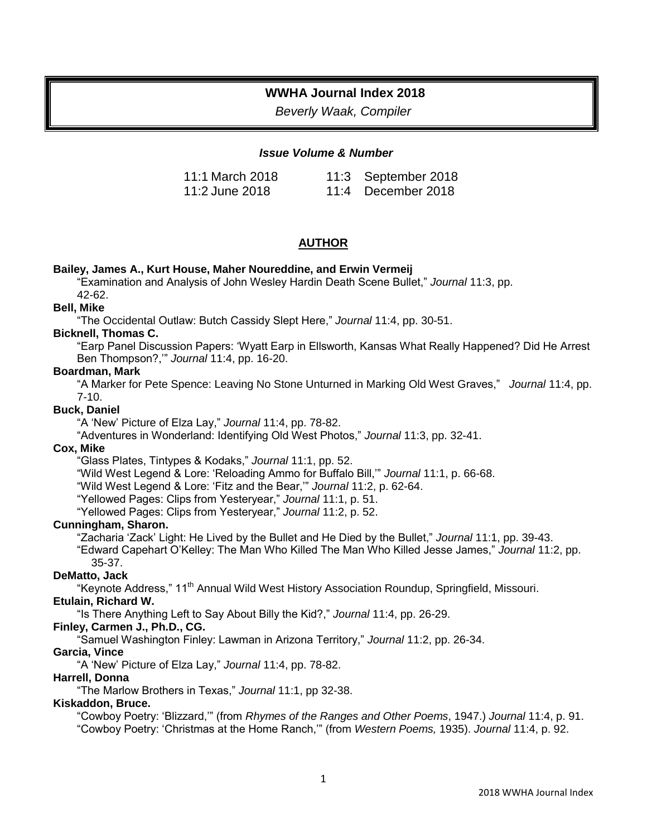# **WWHA Journal Index 2018**

*Beverly Waak, Compiler*

### *Issue Volume & Number*

| 11:1 March 2018 | 11:3 September 2018 |
|-----------------|---------------------|
| 11:2 June 2018  | 11:4 December 2018  |

# **AUTHOR**

#### **Bailey, James A., Kurt House, Maher Noureddine, and Erwin Vermeij**

"Examination and Analysis of John Wesley Hardin Death Scene Bullet," *Journal* 11:3, pp.

42-62.

# **Bell, Mike**

"The Occidental Outlaw: Butch Cassidy Slept Here," *Journal* 11:4, pp. 30-51.

#### **Bicknell, Thomas C.**

"Earp Panel Discussion Papers: 'Wyatt Earp in Ellsworth, Kansas What Really Happened? Did He Arrest Ben Thompson?,'" *Journal* 11:4, pp. 16-20.

#### **Boardman, Mark**

"A Marker for Pete Spence: Leaving No Stone Unturned in Marking Old West Graves," *Journal* 11:4, pp. 7-10.

#### **Buck, Daniel**

"A 'New' Picture of Elza Lay," *Journal* 11:4, pp. 78-82.

"Adventures in Wonderland: Identifying Old West Photos," *Journal* 11:3, pp. 32-41.

#### **Cox, Mike**

"Glass Plates, Tintypes & Kodaks," *Journal* 11:1, pp. 52.

"Wild West Legend & Lore: 'Reloading Ammo for Buffalo Bill,'" *Journal* 11:1, p. 66-68.

"Wild West Legend & Lore: 'Fitz and the Bear,'" *Journal* 11:2, p. 62-64.

"Yellowed Pages: Clips from Yesteryear," *Journal* 11:1, p. 51.

"Yellowed Pages: Clips from Yesteryear," *Journal* 11:2, p. 52.

#### **Cunningham, Sharon.**

"Zacharia 'Zack' Light: He Lived by the Bullet and He Died by the Bullet," *Journal* 11:1, pp. 39-43.

"Edward Capehart O'Kelley: The Man Who Killed The Man Who Killed Jesse James," *Journal* 11:2, pp. 35-37.

# **DeMatto, Jack**

"Keynote Address," 11<sup>th</sup> Annual Wild West History Association Roundup, Springfield, Missouri.

#### **Etulain, Richard W.**

"Is There Anything Left to Say About Billy the Kid?," *Journal* 11:4, pp. 26-29.

# **Finley, Carmen J., Ph.D., CG.**

"Samuel Washington Finley: Lawman in Arizona Territory," *Journal* 11:2, pp. 26-34.

# **Garcia, Vince**

"A 'New' Picture of Elza Lay," *Journal* 11:4, pp. 78-82.

# **Harrell, Donna**

"The Marlow Brothers in Texas," *Journal* 11:1, pp 32-38.

# **Kiskaddon, Bruce.**

"Cowboy Poetry: 'Blizzard,'" (from *Rhymes of the Ranges and Other Poems*, 1947.) *Journal* 11:4, p. 91. "Cowboy Poetry: 'Christmas at the Home Ranch,'" (from *Western Poems,* 1935). *Journal* 11:4, p. 92.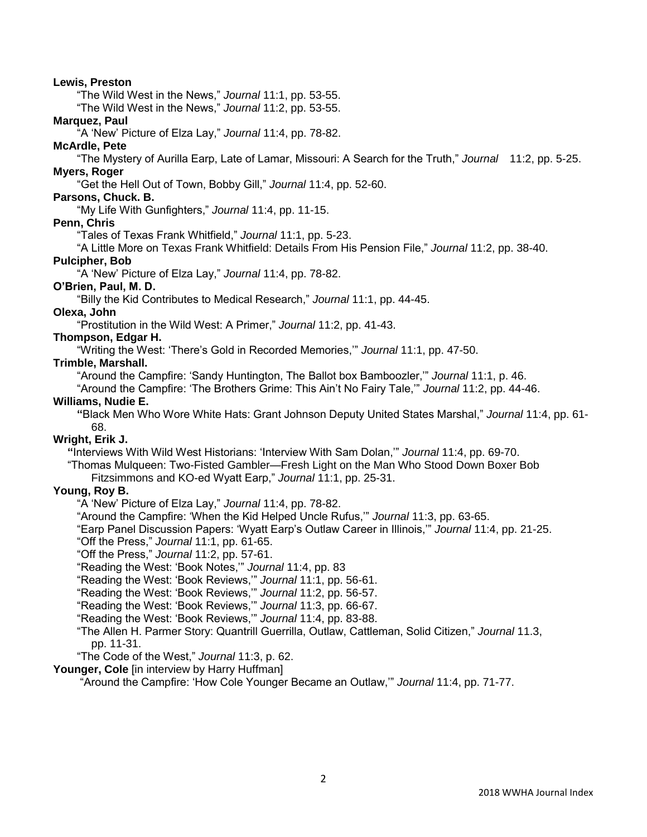### **Lewis, Preston**

"The Wild West in the News," *Journal* 11:1, pp. 53-55.

"The Wild West in the News," *Journal* 11:2, pp. 53-55.

### **Marquez, Paul**

"A 'New' Picture of Elza Lay," *Journal* 11:4, pp. 78-82.

# **McArdle, Pete**

"The Mystery of Aurilla Earp, Late of Lamar, Missouri: A Search for the Truth," *Journal* 11:2, pp. 5-25. **Myers, Roger**

"Get the Hell Out of Town, Bobby Gill," *Journal* 11:4, pp. 52-60.

### **Parsons, Chuck. B.**

"My Life With Gunfighters," *Journal* 11:4, pp. 11-15.

# **Penn, Chris**

"Tales of Texas Frank Whitfield," *Journal* 11:1, pp. 5-23.

"A Little More on Texas Frank Whitfield: Details From His Pension File," *Journal* 11:2, pp. 38-40.

### **Pulcipher, Bob**

"A 'New' Picture of Elza Lay," *Journal* 11:4, pp. 78-82.

# **O'Brien, Paul, M. D.**

"Billy the Kid Contributes to Medical Research," *Journal* 11:1, pp. 44-45.

#### **Olexa, John**

"Prostitution in the Wild West: A Primer," *Journal* 11:2, pp. 41-43.

# **Thompson, Edgar H.**

"Writing the West: 'There's Gold in Recorded Memories,'" *Journal* 11:1, pp. 47-50.

### **Trimble, Marshall.**

"Around the Campfire: 'Sandy Huntington, The Ballot box Bamboozler,'" *Journal* 11:1, p. 46.

"Around the Campfire: 'The Brothers Grime: This Ain't No Fairy Tale,'" *Journal* 11:2, pp. 44-46.

# **Williams, Nudie E.**

**"**Black Men Who Wore White Hats: Grant Johnson Deputy United States Marshal," *Journal* 11:4, pp. 61- 68.

#### **Wright, Erik J.**

**"**Interviews With Wild West Historians: 'Interview With Sam Dolan,'" *Journal* 11:4, pp. 69-70.

"Thomas Mulqueen: Two-Fisted Gambler—Fresh Light on the Man Who Stood Down Boxer Bob Fitzsimmons and KO-ed Wyatt Earp," *Journal* 11:1, pp. 25-31.

# **Young, Roy B.**

"A 'New' Picture of Elza Lay," *Journal* 11:4, pp. 78-82.

"Around the Campfire: 'When the Kid Helped Uncle Rufus,'" *Journal* 11:3, pp. 63-65.

"Earp Panel Discussion Papers: 'Wyatt Earp's Outlaw Career in Illinois,'" *Journal* 11:4, pp. 21-25.

"Off the Press," *Journal* 11:1, pp. 61-65.

"Off the Press," *Journal* 11:2, pp. 57-61.

"Reading the West: 'Book Notes,'" *Journal* 11:4, pp. 83

"Reading the West: 'Book Reviews,'" *Journal* 11:1, pp. 56-61.

"Reading the West: 'Book Reviews,'" *Journal* 11:2, pp. 56-57.

"Reading the West: 'Book Reviews,'" *Journal* 11:3, pp. 66-67.

"Reading the West: 'Book Reviews,'" *Journal* 11:4, pp. 83-88.

"The Allen H. Parmer Story: Quantrill Guerrilla, Outlaw, Cattleman, Solid Citizen," *Journal* 11.3, pp. 11-31.

"The Code of the West," *Journal* 11:3, p. 62.

Younger, Cole [in interview by Harry Huffman]

"Around the Campfire: 'How Cole Younger Became an Outlaw,'" *Journal* 11:4, pp. 71-77.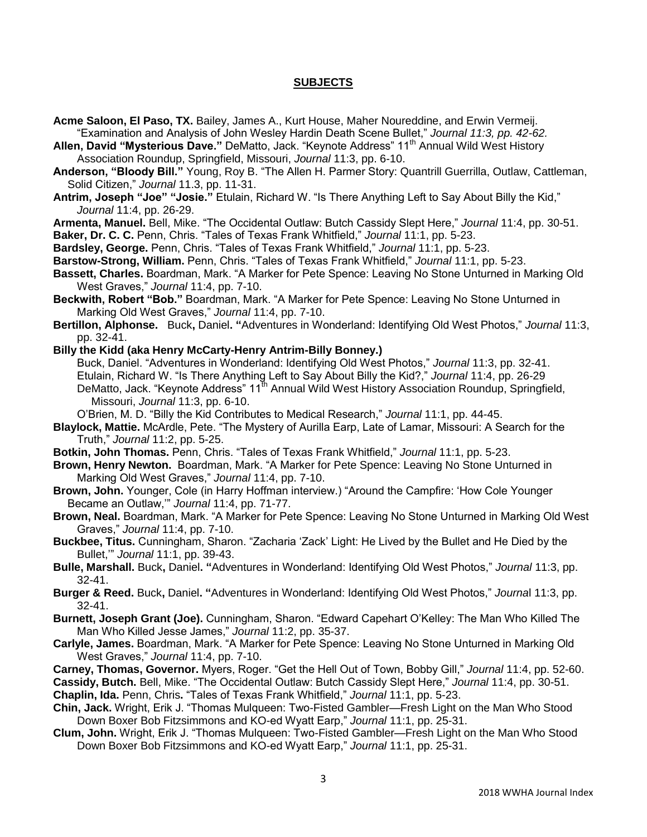### **SUBJECTS**

- **Acme Saloon, El Paso, TX.** Bailey, James A., Kurt House, Maher Noureddine, and Erwin Vermeij. "Examination and Analysis of John Wesley Hardin Death Scene Bullet," *Journal 11:3, pp. 42-62.*
- **Allen, David "Mysterious Dave."** DeMatto, Jack. "Keynote Address" 11<sup>th</sup> Annual Wild West History Association Roundup, Springfield, Missouri, *Journal* 11:3, pp. 6-10.
- **Anderson, "Bloody Bill."** Young, Roy B. "The Allen H. Parmer Story: Quantrill Guerrilla, Outlaw, Cattleman, Solid Citizen," *Journal* 11.3, pp. 11-31.
- **Antrim, Joseph "Joe" "Josie."** Etulain, Richard W. "Is There Anything Left to Say About Billy the Kid," *Journal* 11:4, pp. 26-29.
- **Armenta, Manuel.** Bell, Mike. "The Occidental Outlaw: Butch Cassidy Slept Here," *Journal* 11:4, pp. 30-51.
- **Baker, Dr. C. C.** Penn, Chris. "Tales of Texas Frank Whitfield," *Journal* 11:1, pp. 5-23.
- **Bardsley, George.** Penn, Chris. "Tales of Texas Frank Whitfield," *Journal* 11:1, pp. 5-23.
- **Barstow-Strong, William.** Penn, Chris. "Tales of Texas Frank Whitfield," *Journal* 11:1, pp. 5-23.
- **Bassett, Charles.** Boardman, Mark. "A Marker for Pete Spence: Leaving No Stone Unturned in Marking Old West Graves," *Journal* 11:4, pp. 7-10.
- **Beckwith, Robert "Bob."** Boardman, Mark. "A Marker for Pete Spence: Leaving No Stone Unturned in Marking Old West Graves," *Journal* 11:4, pp. 7-10.
- **Bertillon, Alphonse.** Buck**,** Daniel**. "**Adventures in Wonderland: Identifying Old West Photos," *Journal* 11:3, pp. 32-41.
- **Billy the Kidd (aka Henry McCarty-Henry Antrim-Billy Bonney.)**

Buck, Daniel. "Adventures in Wonderland: Identifying Old West Photos," *Journal* 11:3, pp. 32-41. Etulain, Richard W. "Is There Anything Left to Say About Billy the Kid?," *Journal* 11:4, pp. 26-29 DeMatto, Jack. "Keynote Address" 11<sup>th</sup> Annual Wild West History Association Roundup, Springfield, Missouri, *Journal* 11:3, pp. 6-10.

- O'Brien, M. D. "Billy the Kid Contributes to Medical Research," *Journal* 11:1, pp. 44-45.
- **Blaylock, Mattie.** McArdle, Pete. "The Mystery of Aurilla Earp, Late of Lamar, Missouri: A Search for the Truth," *Journal* 11:2, pp. 5-25.
- **Botkin, John Thomas.** Penn, Chris. "Tales of Texas Frank Whitfield," *Journal* 11:1, pp. 5-23.
- **Brown, Henry Newton.** Boardman, Mark. "A Marker for Pete Spence: Leaving No Stone Unturned in Marking Old West Graves," *Journal* 11:4, pp. 7-10.
- **Brown, John.** Younger, Cole (in Harry Hoffman interview.) "Around the Campfire: 'How Cole Younger Became an Outlaw,'" *Journal* 11:4, pp. 71-77.
- **Brown, Neal.** Boardman, Mark. "A Marker for Pete Spence: Leaving No Stone Unturned in Marking Old West Graves," *Journal* 11:4, pp. 7-10.
- **Buckbee, Titus.** Cunningham, Sharon. "Zacharia 'Zack' Light: He Lived by the Bullet and He Died by the Bullet,'" *Journal* 11:1, pp. 39-43.
- **Bulle, Marshall.** Buck**,** Daniel**. "**Adventures in Wonderland: Identifying Old West Photos," *Journal* 11:3, pp. 32-41.
- **Burger & Reed.** Buck**,** Daniel**. "**Adventures in Wonderland: Identifying Old West Photos," *Journa*l 11:3, pp. 32-41.
- **Burnett, Joseph Grant (Joe).** Cunningham, Sharon. "Edward Capehart O'Kelley: The Man Who Killed The Man Who Killed Jesse James," *Journal* 11:2, pp. 35-37.
- **Carlyle, James.** Boardman, Mark. "A Marker for Pete Spence: Leaving No Stone Unturned in Marking Old West Graves," *Journal* 11:4, pp. 7-10.
- **Carney, Thomas, Governor.** Myers, Roger. "Get the Hell Out of Town, Bobby Gill," *Journal* 11:4, pp. 52-60.

**Cassidy, Butch.** Bell, Mike. "The Occidental Outlaw: Butch Cassidy Slept Here," *Journal* 11:4, pp. 30-51.

**Chaplin, Ida.** Penn, Chris**.** "Tales of Texas Frank Whitfield," *Journal* 11:1, pp. 5-23.

- **Chin, Jack.** Wright, Erik J. "Thomas Mulqueen: Two-Fisted Gambler—Fresh Light on the Man Who Stood Down Boxer Bob Fitzsimmons and KO-ed Wyatt Earp," *Journal* 11:1, pp. 25-31.
- **Clum, John.** Wright, Erik J. "Thomas Mulqueen: Two-Fisted Gambler—Fresh Light on the Man Who Stood Down Boxer Bob Fitzsimmons and KO-ed Wyatt Earp," *Journal* 11:1, pp. 25-31.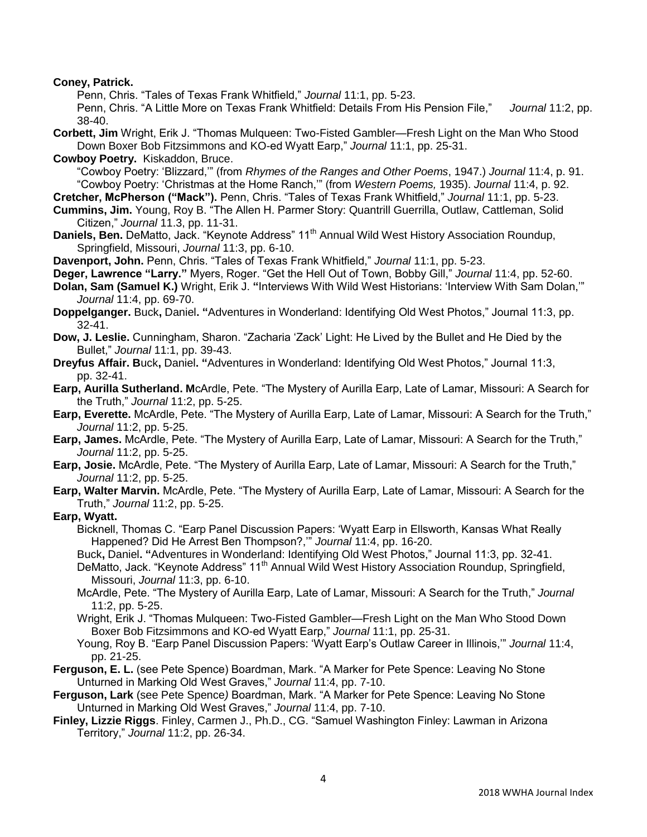**Coney, Patrick.** 

Penn, Chris. "Tales of Texas Frank Whitfield," *Journal* 11:1, pp. 5-23.

Penn, Chris. "A Little More on Texas Frank Whitfield: Details From His Pension File," *Journal* 11:2, pp. 38-40.

**Corbett, Jim** Wright, Erik J. "Thomas Mulqueen: Two-Fisted Gambler—Fresh Light on the Man Who Stood Down Boxer Bob Fitzsimmons and KO-ed Wyatt Earp," *Journal* 11:1, pp. 25-31.

**Cowboy Poetry.** Kiskaddon, Bruce.

"Cowboy Poetry: 'Blizzard,'" (from *Rhymes of the Ranges and Other Poems*, 1947.) *Journal* 11:4, p. 91. "Cowboy Poetry: 'Christmas at the Home Ranch,'" (from *Western Poems,* 1935). *Journal* 11:4, p. 92.

**Cretcher, McPherson ("Mack").** Penn, Chris. "Tales of Texas Frank Whitfield," *Journal* 11:1, pp. 5-23. **Cummins, Jim.** Young, Roy B. "The Allen H. Parmer Story: Quantrill Guerrilla, Outlaw, Cattleman, Solid

Citizen," *Journal* 11.3, pp. 11-31.

**Daniels, Ben.** DeMatto, Jack. "Keynote Address" 11<sup>th</sup> Annual Wild West History Association Roundup, Springfield, Missouri, *Journal* 11:3, pp. 6-10.

**Davenport, John.** Penn, Chris. "Tales of Texas Frank Whitfield," *Journal* 11:1, pp. 5-23.

**Deger, Lawrence "Larry."** Myers, Roger. "Get the Hell Out of Town, Bobby Gill," *Journal* 11:4, pp. 52-60.

**Dolan, Sam (Samuel K.)** Wright, Erik J. **"**Interviews With Wild West Historians: 'Interview With Sam Dolan,'" *Journal* 11:4, pp. 69-70.

**Doppelganger.** Buck**,** Daniel**. "**Adventures in Wonderland: Identifying Old West Photos," Journal 11:3, pp. 32-41.

**Dow, J. Leslie.** Cunningham, Sharon. "Zacharia 'Zack' Light: He Lived by the Bullet and He Died by the Bullet," *Journal* 11:1, pp. 39-43.

**Dreyfus Affair. B**uck**,** Daniel**. "**Adventures in Wonderland: Identifying Old West Photos," Journal 11:3, pp. 32-41.

**Earp, Aurilla Sutherland. M**cArdle, Pete. "The Mystery of Aurilla Earp, Late of Lamar, Missouri: A Search for the Truth," *Journal* 11:2, pp. 5-25.

**Earp, Everette.** McArdle, Pete. "The Mystery of Aurilla Earp, Late of Lamar, Missouri: A Search for the Truth," *Journal* 11:2, pp. 5-25.

**Earp, James.** McArdle, Pete. "The Mystery of Aurilla Earp, Late of Lamar, Missouri: A Search for the Truth," *Journal* 11:2, pp. 5-25.

**Earp, Josie.** McArdle, Pete. "The Mystery of Aurilla Earp, Late of Lamar, Missouri: A Search for the Truth," *Journal* 11:2, pp. 5-25.

**Earp, Walter Marvin.** McArdle, Pete. "The Mystery of Aurilla Earp, Late of Lamar, Missouri: A Search for the Truth," *Journal* 11:2, pp. 5-25.

**Earp, Wyatt.** 

Bicknell, Thomas C. "Earp Panel Discussion Papers: 'Wyatt Earp in Ellsworth, Kansas What Really Happened? Did He Arrest Ben Thompson?,'" *Journal* 11:4, pp. 16-20.

Buck**,** Daniel**. "**Adventures in Wonderland: Identifying Old West Photos," Journal 11:3, pp. 32-41.

DeMatto, Jack. "Keynote Address" 11<sup>th</sup> Annual Wild West History Association Roundup, Springfield, Missouri, *Journal* 11:3, pp. 6-10.

McArdle, Pete. "The Mystery of Aurilla Earp, Late of Lamar, Missouri: A Search for the Truth," *Journal*  11:2, pp. 5-25.

Wright, Erik J. "Thomas Mulqueen: Two-Fisted Gambler—Fresh Light on the Man Who Stood Down Boxer Bob Fitzsimmons and KO-ed Wyatt Earp," *Journal* 11:1, pp. 25-31.

Young, Roy B. "Earp Panel Discussion Papers: 'Wyatt Earp's Outlaw Career in Illinois,'" *Journal* 11:4, pp. 21-25.

**Ferguson, E. L.** (see Pete Spence) Boardman, Mark. "A Marker for Pete Spence: Leaving No Stone Unturned in Marking Old West Graves," *Journal* 11:4, pp. 7-10.

**Ferguson, Lark** (see Pete Spence*)* Boardman, Mark. "A Marker for Pete Spence: Leaving No Stone Unturned in Marking Old West Graves," *Journal* 11:4, pp. 7-10.

**Finley, Lizzie Riggs**. Finley, Carmen J., Ph.D., CG. "Samuel Washington Finley: Lawman in Arizona Territory," *Journal* 11:2, pp. 26-34.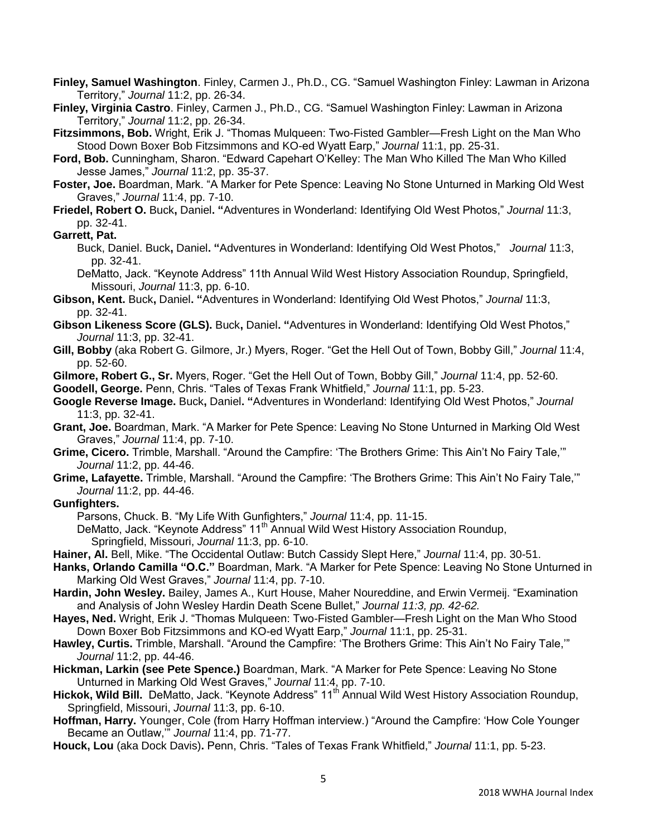- **Finley, Samuel Washington**. Finley, Carmen J., Ph.D., CG. "Samuel Washington Finley: Lawman in Arizona Territory," *Journal* 11:2, pp. 26-34.
- **Finley, Virginia Castro**. Finley, Carmen J., Ph.D., CG. "Samuel Washington Finley: Lawman in Arizona Territory," *Journal* 11:2, pp. 26-34.
- **Fitzsimmons, Bob.** Wright, Erik J. "Thomas Mulqueen: Two-Fisted Gambler—Fresh Light on the Man Who Stood Down Boxer Bob Fitzsimmons and KO-ed Wyatt Earp," *Journal* 11:1, pp. 25-31.
- **Ford, Bob.** Cunningham, Sharon. "Edward Capehart O'Kelley: The Man Who Killed The Man Who Killed Jesse James," *Journal* 11:2, pp. 35-37.
- **Foster, Joe.** Boardman, Mark. "A Marker for Pete Spence: Leaving No Stone Unturned in Marking Old West Graves," *Journal* 11:4, pp. 7-10.
- **Friedel, Robert O.** Buck**,** Daniel**. "**Adventures in Wonderland: Identifying Old West Photos," *Journal* 11:3, pp. 32-41.

#### **Garrett, Pat.**

Buck, Daniel. Buck**,** Daniel**. "**Adventures in Wonderland: Identifying Old West Photos," *Journal* 11:3, pp. 32-41.

DeMatto, Jack. "Keynote Address" 11th Annual Wild West History Association Roundup, Springfield, Missouri, *Journal* 11:3, pp. 6-10.

- **Gibson, Kent.** Buck**,** Daniel**. "**Adventures in Wonderland: Identifying Old West Photos," *Journal* 11:3, pp. 32-41.
- **Gibson Likeness Score (GLS).** Buck**,** Daniel**. "**Adventures in Wonderland: Identifying Old West Photos," *Journal* 11:3, pp. 32-41.
- **Gill, Bobby** (aka Robert G. Gilmore, Jr.) Myers, Roger. "Get the Hell Out of Town, Bobby Gill," *Journal* 11:4, pp. 52-60.
- **Gilmore, Robert G., Sr.** Myers, Roger. "Get the Hell Out of Town, Bobby Gill," *Journal* 11:4, pp. 52-60.

**Goodell, George.** Penn, Chris. "Tales of Texas Frank Whitfield," *Journal* 11:1, pp. 5-23.

- **Google Reverse Image.** Buck**,** Daniel**. "**Adventures in Wonderland: Identifying Old West Photos," *Journal* 11:3, pp. 32-41.
- **Grant, Joe.** Boardman, Mark. "A Marker for Pete Spence: Leaving No Stone Unturned in Marking Old West Graves," *Journal* 11:4, pp. 7-10.
- **Grime, Cicero.** Trimble, Marshall. "Around the Campfire: 'The Brothers Grime: This Ain't No Fairy Tale,'" *Journal* 11:2, pp. 44-46.
- **Grime, Lafayette.** Trimble, Marshall. "Around the Campfire: 'The Brothers Grime: This Ain't No Fairy Tale,'" *Journal* 11:2, pp. 44-46.

#### **Gunfighters.**

- Parsons, Chuck. B. "My Life With Gunfighters," *Journal* 11:4, pp. 11-15.
- DeMatto, Jack. "Keynote Address" 11<sup>th</sup> Annual Wild West History Association Roundup, Springfield, Missouri, *Journal* 11:3, pp. 6-10.
- **Hainer, Al.** Bell, Mike. "The Occidental Outlaw: Butch Cassidy Slept Here," *Journal* 11:4, pp. 30-51.
- **Hanks, Orlando Camilla "O.C."** Boardman, Mark. "A Marker for Pete Spence: Leaving No Stone Unturned in Marking Old West Graves," *Journal* 11:4, pp. 7-10.
- **Hardin, John Wesley.** Bailey, James A., Kurt House, Maher Noureddine, and Erwin Vermeij. "Examination and Analysis of John Wesley Hardin Death Scene Bullet," *Journal 11:3, pp. 42-62.*
- **Hayes, Ned.** Wright, Erik J. "Thomas Mulqueen: Two-Fisted Gambler—Fresh Light on the Man Who Stood Down Boxer Bob Fitzsimmons and KO-ed Wyatt Earp," *Journal* 11:1, pp. 25-31.
- **Hawley, Curtis.** Trimble, Marshall. "Around the Campfire: 'The Brothers Grime: This Ain't No Fairy Tale,'" *Journal* 11:2, pp. 44-46.
- **Hickman, Larkin (see Pete Spence.)** Boardman, Mark. "A Marker for Pete Spence: Leaving No Stone Unturned in Marking Old West Graves," *Journal* 11:4, pp. 7-10.
- **Hickok, Wild Bill.** DeMatto, Jack. "Keynote Address" 11<sup>th</sup> Annual Wild West History Association Roundup, Springfield, Missouri, *Journal* 11:3, pp. 6-10.
- **Hoffman, Harry.** Younger, Cole (from Harry Hoffman interview.) "Around the Campfire: 'How Cole Younger Became an Outlaw,'" *Journal* 11:4, pp. 71-77.
- **Houck, Lou** (aka Dock Davis)**.** Penn, Chris. "Tales of Texas Frank Whitfield," *Journal* 11:1, pp. 5-23.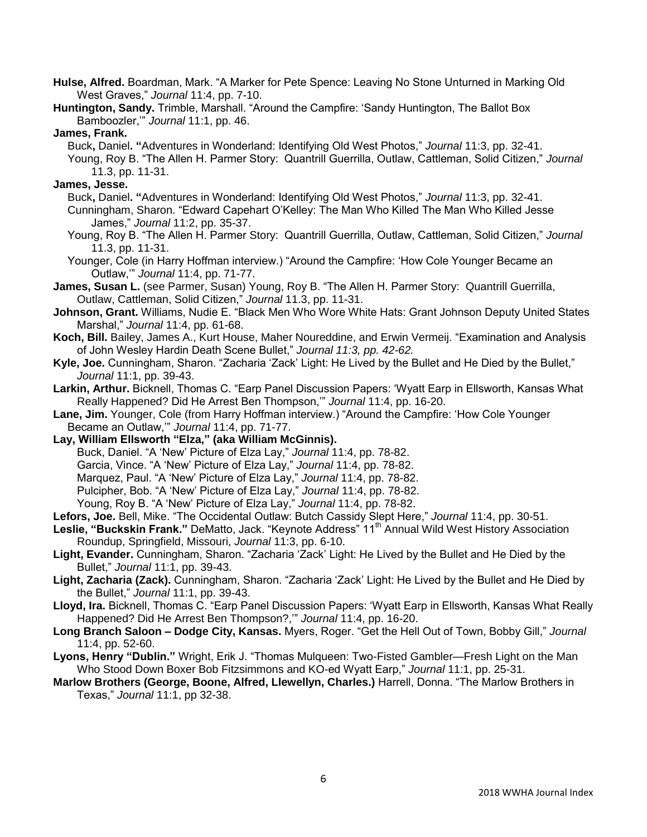- **Hulse, Alfred.** Boardman, Mark. "A Marker for Pete Spence: Leaving No Stone Unturned in Marking Old West Graves," *Journal* 11:4, pp. 7-10.
- **Huntington, Sandy.** Trimble, Marshall. "Around the Campfire: 'Sandy Huntington, The Ballot Box Bamboozler,'" *Journal* 11:1, pp. 46.

### **James, Frank.**

Buck**,** Daniel**. "**Adventures in Wonderland: Identifying Old West Photos," *Journal* 11:3, pp. 32-41. Young, Roy B. "The Allen H. Parmer Story: Quantrill Guerrilla, Outlaw, Cattleman, Solid Citizen," *Journal*  11.3, pp. 11-31.

# **James, Jesse.**

- Buck**,** Daniel**. "**Adventures in Wonderland: Identifying Old West Photos," *Journal* 11:3, pp. 32-41. Cunningham, Sharon. "Edward Capehart O'Kelley: The Man Who Killed The Man Who Killed Jesse James," *Journal* 11:2, pp. 35-37.
- Young, Roy B. "The Allen H. Parmer Story: Quantrill Guerrilla, Outlaw, Cattleman, Solid Citizen," *Journal*  11.3, pp. 11-31.
- Younger, Cole (in Harry Hoffman interview.) "Around the Campfire: 'How Cole Younger Became an Outlaw,'" *Journal* 11:4, pp. 71-77.
- **James, Susan L.** (see Parmer, Susan) Young, Roy B. "The Allen H. Parmer Story: Quantrill Guerrilla, Outlaw, Cattleman, Solid Citizen," *Journal* 11.3, pp. 11-31.
- **Johnson, Grant.** Williams, Nudie E. "Black Men Who Wore White Hats: Grant Johnson Deputy United States Marshal," *Journal* 11:4, pp. 61-68.
- **Koch, Bill.** Bailey, James A., Kurt House, Maher Noureddine, and Erwin Vermeij. "Examination and Analysis of John Wesley Hardin Death Scene Bullet," *Journal 11:3, pp. 42-62.*
- **Kyle, Joe.** Cunningham, Sharon. "Zacharia 'Zack' Light: He Lived by the Bullet and He Died by the Bullet," *Journal* 11:1, pp. 39-43.
- **Larkin, Arthur.** Bicknell, Thomas C. "Earp Panel Discussion Papers: 'Wyatt Earp in Ellsworth, Kansas What Really Happened? Did He Arrest Ben Thompson,'" *Journal* 11:4, pp. 16-20.
- **Lane, Jim.** Younger, Cole (from Harry Hoffman interview.) "Around the Campfire: 'How Cole Younger Became an Outlaw,'" *Journal* 11:4, pp. 71-77.
- **Lay, William Ellsworth "Elza," (aka William McGinnis).**  Buck, Daniel. "A 'New' Picture of Elza Lay," *Journal* 11:4, pp. 78-82. Garcia, Vince. "A 'New' Picture of Elza Lay," *Journal* 11:4, pp. 78-82. Marquez, Paul. "A 'New' Picture of Elza Lay," *Journal* 11:4, pp. 78-82. Pulcipher, Bob. "A 'New' Picture of Elza Lay," *Journal* 11:4, pp. 78-82. Young, Roy B. "A 'New' Picture of Elza Lay," *Journal* 11:4, pp. 78-82.
- **Lefors, Joe.** Bell, Mike. "The Occidental Outlaw: Butch Cassidy Slept Here," *Journal* 11:4, pp. 30-51.
- Leslie, "Buckskin Frank." DeMatto, Jack. "Keynote Address" 11<sup>th</sup> Annual Wild West History Association Roundup, Springfield, Missouri, *Journal* 11:3, pp. 6-10.
- **Light, Evander.** Cunningham, Sharon. "Zacharia 'Zack' Light: He Lived by the Bullet and He Died by the Bullet," *Journal* 11:1, pp. 39-43.
- **Light, Zacharia (Zack).** Cunningham, Sharon. "Zacharia 'Zack' Light: He Lived by the Bullet and He Died by the Bullet," *Journal* 11:1, pp. 39-43.
- **Lloyd, Ira.** Bicknell, Thomas C. "Earp Panel Discussion Papers: 'Wyatt Earp in Ellsworth, Kansas What Really Happened? Did He Arrest Ben Thompson?,'" *Journal* 11:4, pp. 16-20.
- **Long Branch Saloon – Dodge City, Kansas.** Myers, Roger. "Get the Hell Out of Town, Bobby Gill," *Journal*  11:4, pp. 52-60.
- **Lyons, Henry "Dublin."** Wright, Erik J. "Thomas Mulqueen: Two-Fisted Gambler—Fresh Light on the Man Who Stood Down Boxer Bob Fitzsimmons and KO-ed Wyatt Earp," *Journal* 11:1, pp. 25-31.
- **Marlow Brothers (George, Boone, Alfred, Llewellyn, Charles.)** Harrell, Donna. "The Marlow Brothers in Texas," *Journal* 11:1, pp 32-38.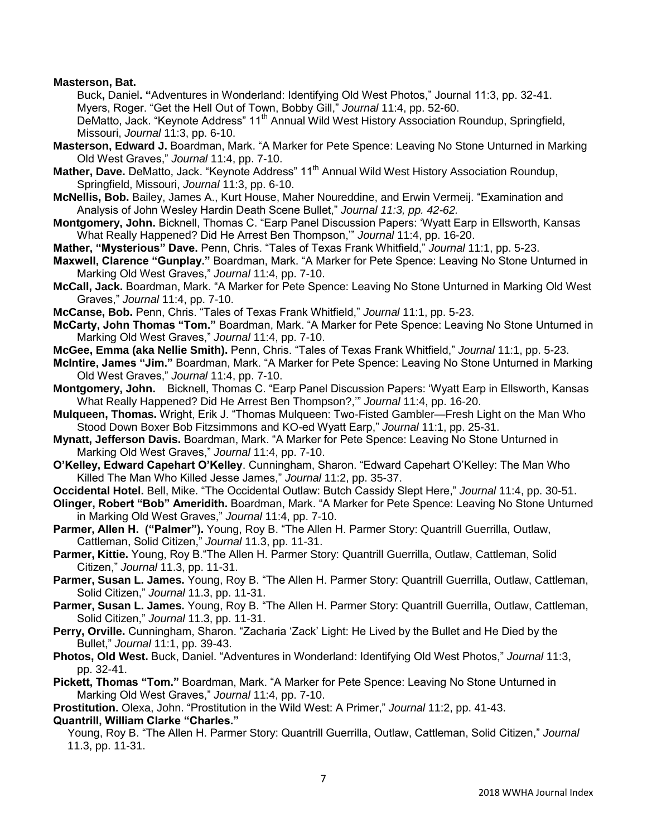**Masterson, Bat.**

Buck**,** Daniel**. "**Adventures in Wonderland: Identifying Old West Photos," Journal 11:3, pp. 32-41. Myers, Roger. "Get the Hell Out of Town, Bobby Gill," *Journal* 11:4, pp. 52-60.

DeMatto, Jack. "Keynote Address" 11<sup>th</sup> Annual Wild West History Association Roundup, Springfield, Missouri, *Journal* 11:3, pp. 6-10.

- **Masterson, Edward J.** Boardman, Mark. "A Marker for Pete Spence: Leaving No Stone Unturned in Marking Old West Graves," *Journal* 11:4, pp. 7-10.
- **Mather, Dave.** DeMatto, Jack. "Keynote Address" 11<sup>th</sup> Annual Wild West History Association Roundup, Springfield, Missouri, *Journal* 11:3, pp. 6-10.
- **McNellis, Bob.** Bailey, James A., Kurt House, Maher Noureddine, and Erwin Vermeij. "Examination and Analysis of John Wesley Hardin Death Scene Bullet," *Journal 11:3, pp. 42-62.*
- **Montgomery, John.** Bicknell, Thomas C. "Earp Panel Discussion Papers: 'Wyatt Earp in Ellsworth, Kansas What Really Happened? Did He Arrest Ben Thompson,'" *Journal* 11:4, pp. 16-20.
- **Mather, "Mysterious" Dave.** Penn, Chris. "Tales of Texas Frank Whitfield," *Journal* 11:1, pp. 5-23.
- **Maxwell, Clarence "Gunplay."** Boardman, Mark. "A Marker for Pete Spence: Leaving No Stone Unturned in Marking Old West Graves," *Journal* 11:4, pp. 7-10.
- **McCall, Jack.** Boardman, Mark. "A Marker for Pete Spence: Leaving No Stone Unturned in Marking Old West Graves," *Journal* 11:4, pp. 7-10.
- **McCanse, Bob.** Penn, Chris. "Tales of Texas Frank Whitfield," *Journal* 11:1, pp. 5-23.
- **McCarty, John Thomas "Tom."** Boardman, Mark. "A Marker for Pete Spence: Leaving No Stone Unturned in Marking Old West Graves," *Journal* 11:4, pp. 7-10.
- **McGee, Emma (aka Nellie Smith).** Penn, Chris. "Tales of Texas Frank Whitfield," *Journal* 11:1, pp. 5-23.
- **McIntire, James "Jim."** Boardman, Mark. "A Marker for Pete Spence: Leaving No Stone Unturned in Marking Old West Graves," *Journal* 11:4, pp. 7-10.
- **Montgomery, John.** Bicknell, Thomas C. "Earp Panel Discussion Papers: 'Wyatt Earp in Ellsworth, Kansas What Really Happened? Did He Arrest Ben Thompson?,'" *Journal* 11:4, pp. 16-20.
- **Mulqueen, Thomas.** Wright, Erik J. "Thomas Mulqueen: Two-Fisted Gambler—Fresh Light on the Man Who Stood Down Boxer Bob Fitzsimmons and KO-ed Wyatt Earp," *Journal* 11:1, pp. 25-31.
- **Mynatt, Jefferson Davis.** Boardman, Mark. "A Marker for Pete Spence: Leaving No Stone Unturned in Marking Old West Graves," *Journal* 11:4, pp. 7-10.
- **O'Kelley, Edward Capehart O'Kelley**. Cunningham, Sharon. "Edward Capehart O'Kelley: The Man Who Killed The Man Who Killed Jesse James," *Journal* 11:2, pp. 35-37.
- **Occidental Hotel.** Bell, Mike. "The Occidental Outlaw: Butch Cassidy Slept Here," *Journal* 11:4, pp. 30-51.
- **Olinger, Robert "Bob" Ameridith.** Boardman, Mark. "A Marker for Pete Spence: Leaving No Stone Unturned in Marking Old West Graves," *Journal* 11:4, pp. 7-10.
- Parmer, Allen H. ("Palmer"). Young, Roy B. "The Allen H. Parmer Story: Quantrill Guerrilla, Outlaw, Cattleman, Solid Citizen," *Journal* 11.3, pp. 11-31.
- **Parmer, Kittie.** Young, Roy B."The Allen H. Parmer Story: Quantrill Guerrilla, Outlaw, Cattleman, Solid Citizen," *Journal* 11.3, pp. 11-31.
- **Parmer, Susan L. James.** Young, Roy B. "The Allen H. Parmer Story: Quantrill Guerrilla, Outlaw, Cattleman, Solid Citizen," *Journal* 11.3, pp. 11-31.
- **Parmer, Susan L. James.** Young, Roy B. "The Allen H. Parmer Story: Quantrill Guerrilla, Outlaw, Cattleman, Solid Citizen," *Journal* 11.3, pp. 11-31.
- **Perry, Orville.** Cunningham, Sharon. "Zacharia 'Zack' Light: He Lived by the Bullet and He Died by the Bullet," *Journal* 11:1, pp. 39-43.
- **Photos, Old West.** Buck, Daniel. "Adventures in Wonderland: Identifying Old West Photos," *Journal* 11:3, pp. 32-41.
- **Pickett, Thomas "Tom."** Boardman, Mark. "A Marker for Pete Spence: Leaving No Stone Unturned in Marking Old West Graves," *Journal* 11:4, pp. 7-10.

**Prostitution.** Olexa, John. "Prostitution in the Wild West: A Primer," *Journal* 11:2, pp. 41-43. **Quantrill, William Clarke "Charles."** 

Young, Roy B. "The Allen H. Parmer Story: Quantrill Guerrilla, Outlaw, Cattleman, Solid Citizen," *Journal*  11.3, pp. 11-31.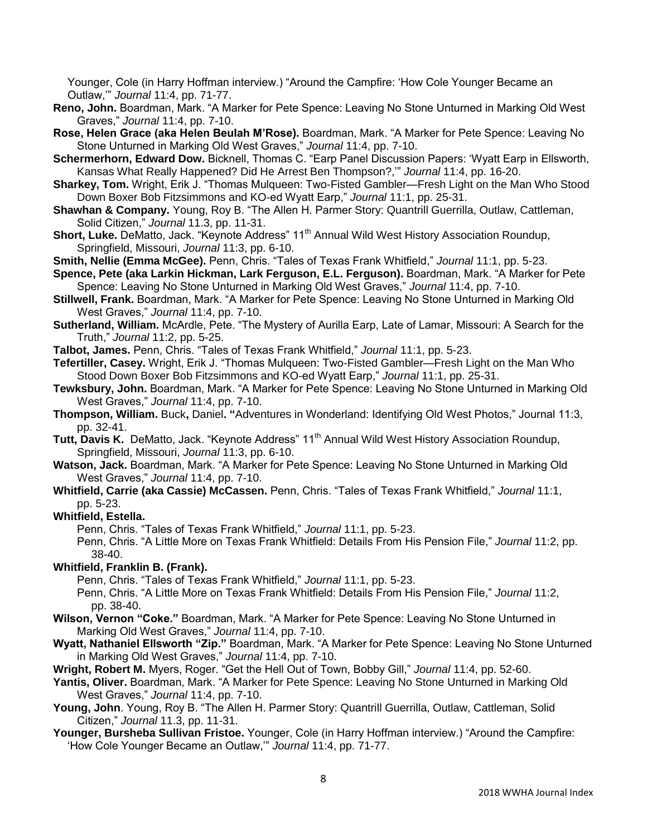Younger, Cole (in Harry Hoffman interview.) "Around the Campfire: 'How Cole Younger Became an Outlaw,'" *Journal* 11:4, pp. 71-77.

- **Reno, John.** Boardman, Mark. "A Marker for Pete Spence: Leaving No Stone Unturned in Marking Old West Graves," *Journal* 11:4, pp. 7-10.
- **Rose, Helen Grace (aka Helen Beulah M'Rose).** Boardman, Mark. "A Marker for Pete Spence: Leaving No Stone Unturned in Marking Old West Graves," *Journal* 11:4, pp. 7-10.
- **Schermerhorn, Edward Dow.** Bicknell, Thomas C. "Earp Panel Discussion Papers: 'Wyatt Earp in Ellsworth, Kansas What Really Happened? Did He Arrest Ben Thompson?,'" *Journal* 11:4, pp. 16-20.
- **Sharkey, Tom.** Wright, Erik J. "Thomas Mulqueen: Two-Fisted Gambler—Fresh Light on the Man Who Stood Down Boxer Bob Fitzsimmons and KO-ed Wyatt Earp," *Journal* 11:1, pp. 25-31.
- **Shawhan & Company.** Young, Roy B. "The Allen H. Parmer Story: Quantrill Guerrilla, Outlaw, Cattleman, Solid Citizen," *Journal* 11.3, pp. 11-31.
- **Short, Luke.** DeMatto, Jack. "Keynote Address" 11<sup>th</sup> Annual Wild West History Association Roundup, Springfield, Missouri, *Journal* 11:3, pp. 6-10.
- **Smith, Nellie (Emma McGee).** Penn, Chris. "Tales of Texas Frank Whitfield," *Journal* 11:1, pp. 5-23.
- **Spence, Pete (aka Larkin Hickman, Lark Ferguson, E.L. Ferguson).** Boardman, Mark. "A Marker for Pete Spence: Leaving No Stone Unturned in Marking Old West Graves," *Journal* 11:4, pp. 7-10.
- **Stillwell, Frank.** Boardman, Mark. "A Marker for Pete Spence: Leaving No Stone Unturned in Marking Old West Graves," *Journal* 11:4, pp. 7-10.
- **Sutherland, William.** McArdle, Pete. "The Mystery of Aurilla Earp, Late of Lamar, Missouri: A Search for the Truth," *Journal* 11:2, pp. 5-25.

**Talbot, James.** Penn, Chris. "Tales of Texas Frank Whitfield," *Journal* 11:1, pp. 5-23.

- **Tefertiller, Casey.** Wright, Erik J. "Thomas Mulqueen: Two-Fisted Gambler—Fresh Light on the Man Who Stood Down Boxer Bob Fitzsimmons and KO-ed Wyatt Earp," *Journal* 11:1, pp. 25-31.
- **Tewksbury, John.** Boardman, Mark. "A Marker for Pete Spence: Leaving No Stone Unturned in Marking Old West Graves," *Journal* 11:4, pp. 7-10.
- **Thompson, William.** Buck**,** Daniel**. "**Adventures in Wonderland: Identifying Old West Photos," Journal 11:3, pp. 32-41.
- Tutt, Davis K. DeMatto, Jack. "Keynote Address" 11<sup>th</sup> Annual Wild West History Association Roundup, Springfield, Missouri, *Journal* 11:3, pp. 6-10.
- **Watson, Jack.** Boardman, Mark. "A Marker for Pete Spence: Leaving No Stone Unturned in Marking Old West Graves," *Journal* 11:4, pp. 7-10.
- **Whitfield, Carrie (aka Cassie) McCassen.** Penn, Chris. "Tales of Texas Frank Whitfield," *Journal* 11:1, pp. 5-23.
- **Whitfield, Estella.** 
	- Penn, Chris. "Tales of Texas Frank Whitfield," *Journal* 11:1, pp. 5-23.
	- Penn, Chris. "A Little More on Texas Frank Whitfield: Details From His Pension File," *Journal* 11:2, pp. 38-40.

# **Whitfield, Franklin B. (Frank).**

Penn, Chris. "Tales of Texas Frank Whitfield," *Journal* 11:1, pp. 5-23.

- Penn, Chris. "A Little More on Texas Frank Whitfield: Details From His Pension File," *Journal* 11:2, pp. 38-40.
- **Wilson, Vernon "Coke."** Boardman, Mark. "A Marker for Pete Spence: Leaving No Stone Unturned in Marking Old West Graves," *Journal* 11:4, pp. 7-10.
- **Wyatt, Nathaniel Ellsworth "Zip."** Boardman, Mark. "A Marker for Pete Spence: Leaving No Stone Unturned in Marking Old West Graves," *Journal* 11:4, pp. 7-10.
- **Wright, Robert M.** Myers, Roger. "Get the Hell Out of Town, Bobby Gill," *Journal* 11:4, pp. 52-60.
- **Yantis, Oliver.** Boardman, Mark. "A Marker for Pete Spence: Leaving No Stone Unturned in Marking Old West Graves," *Journal* 11:4, pp. 7-10.
- **Young, John**. Young, Roy B. "The Allen H. Parmer Story: Quantrill Guerrilla, Outlaw, Cattleman, Solid Citizen," *Journal* 11.3, pp. 11-31.
- **Younger, Bursheba Sullivan Fristoe.** Younger, Cole (in Harry Hoffman interview.) "Around the Campfire: 'How Cole Younger Became an Outlaw,'" *Journal* 11:4, pp. 71-77.